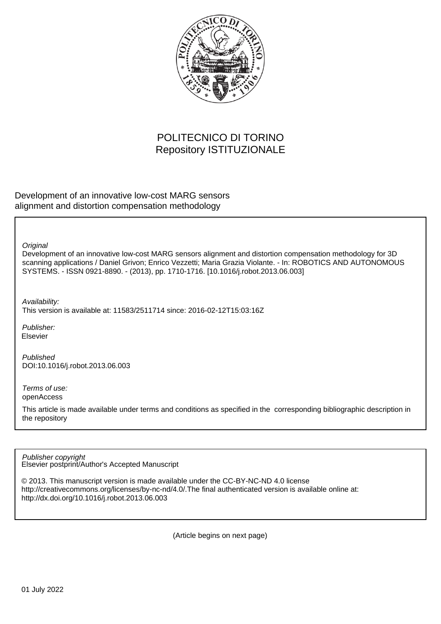

# POLITECNICO DI TORINO Repository ISTITUZIONALE

Development of an innovative low-cost MARG sensors alignment and distortion compensation methodology

**Original** 

Development of an innovative low-cost MARG sensors alignment and distortion compensation methodology for 3D scanning applications / Daniel Grivon; Enrico Vezzetti; Maria Grazia Violante. - In: ROBOTICS AND AUTONOMOUS SYSTEMS. - ISSN 0921-8890. - (2013), pp. 1710-1716. [10.1016/j.robot.2013.06.003]

Availability: This version is available at: 11583/2511714 since: 2016-02-12T15:03:16Z

Publisher: Elsevier

Published DOI:10.1016/j.robot.2013.06.003

Terms of use: openAccess

This article is made available under terms and conditions as specified in the corresponding bibliographic description in the repository

Elsevier postprint/Author's Accepted Manuscript Publisher copyright

© 2013. This manuscript version is made available under the CC-BY-NC-ND 4.0 license http://creativecommons.org/licenses/by-nc-nd/4.0/.The final authenticated version is available online at: http://dx.doi.org/10.1016/j.robot.2013.06.003

(Article begins on next page)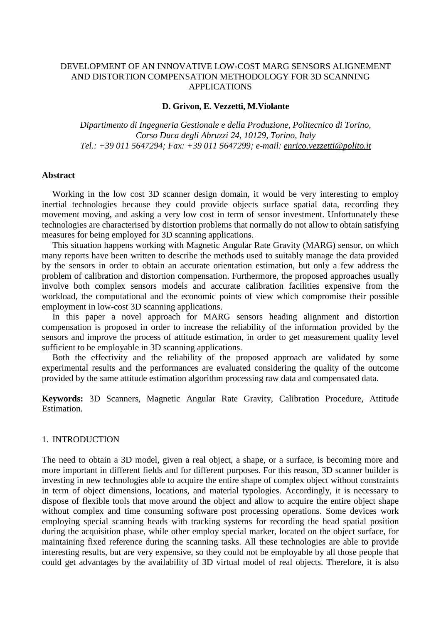# DEVELOPMENT OF AN INNOVATIVE LOW-COST MARG SENSORS ALIGNEMENT AND DISTORTION COMPENSATION METHODOLOGY FOR 3D SCANNING APPLICATIONS

#### **D. Grivon, E. Vezzetti, M.Violante**

*Dipartimento di Ingegneria Gestionale e della Produzione, Politecnico di Torino, Corso Duca degli Abruzzi 24, 10129, Torino, Italy Tel.: +39 011 5647294; Fax: +39 011 5647299; e-mail: [enrico.vezzetti@polito.it](mailto:enrico.vezzetti@polito.it)*

#### **Abstract**

Working in the low cost 3D scanner design domain, it would be very interesting to employ inertial technologies because they could provide objects surface spatial data, recording they movement moving, and asking a very low cost in term of sensor investment. Unfortunately these technologies are characterised by distortion problems that normally do not allow to obtain satisfying measures for being employed for 3D scanning applications.

This situation happens working with Magnetic Angular Rate Gravity (MARG) sensor, on which many reports have been written to describe the methods used to suitably manage the data provided by the sensors in order to obtain an accurate orientation estimation, but only a few address the problem of calibration and distortion compensation. Furthermore, the proposed approaches usually involve both complex sensors models and accurate calibration facilities expensive from the workload, the computational and the economic points of view which compromise their possible employment in low-cost 3D scanning applications.

In this paper a novel approach for MARG sensors heading alignment and distortion compensation is proposed in order to increase the reliability of the information provided by the sensors and improve the process of attitude estimation, in order to get measurement quality level sufficient to be employable in 3D scanning applications.

Both the effectivity and the reliability of the proposed approach are validated by some experimental results and the performances are evaluated considering the quality of the outcome provided by the same attitude estimation algorithm processing raw data and compensated data.

**Keywords:** 3D Scanners, Magnetic Angular Rate Gravity, Calibration Procedure, Attitude Estimation.

#### 1. INTRODUCTION

The need to obtain a 3D model, given a real object, a shape, or a surface, is becoming more and more important in different fields and for different purposes. For this reason, 3D scanner builder is investing in new technologies able to acquire the entire shape of complex object without constraints in term of object dimensions, locations, and material typologies. Accordingly, it is necessary to dispose of flexible tools that move around the object and allow to acquire the entire object shape without complex and time consuming software post processing operations. Some devices work employing special scanning heads with tracking systems for recording the head spatial position during the acquisition phase, while other employ special marker, located on the object surface, for maintaining fixed reference during the scanning tasks. All these technologies are able to provide interesting results, but are very expensive, so they could not be employable by all those people that could get advantages by the availability of 3D virtual model of real objects. Therefore, it is also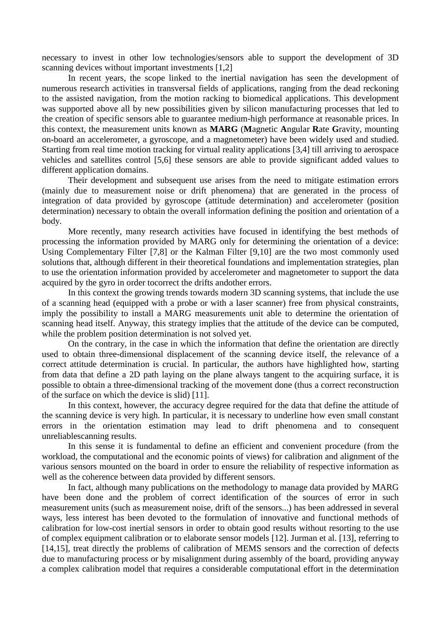necessary to invest in other low technologies/sensors able to support the development of 3D scanning devices without important investments [1,2]

In recent years, the scope linked to the inertial navigation has seen the development of numerous research activities in transversal fields of applications, ranging from the dead reckoning to the assisted navigation, from the motion racking to biomedical applications. This development was supported above all by new possibilities given by silicon manufacturing processes that led to the creation of specific sensors able to guarantee medium-high performance at reasonable prices. In this context, the measurement units known as **MARG** (**M**agnetic **A**ngular **R**ate **G**ravity, mounting on-board an accelerometer, a gyroscope, and a magnetometer) have been widely used and studied. Starting from real time motion tracking for virtual reality applications [3,4] till arriving to aerospace vehicles and satellites control [5,6] these sensors are able to provide significant added values to different application domains.

Their development and subsequent use arises from the need to mitigate estimation errors (mainly due to measurement noise or drift phenomena) that are generated in the process of integration of data provided by gyroscope (attitude determination) and accelerometer (position determination) necessary to obtain the overall information defining the position and orientation of a body.

More recently, many research activities have focused in identifying the best methods of processing the information provided by MARG only for determining the orientation of a device: Using Complementary Filter [7,8] or the Kalman Filter [9,10] are the two most commonly used solutions that, although different in their theoretical foundations and implementation strategies, plan to use the orientation information provided by accelerometer and magnetometer to support the data acquired by the gyro in order tocorrect the drifts andother errors.

In this context the growing trends towards modern 3D scanning systems, that include the use of a scanning head (equipped with a probe or with a laser scanner) free from physical constraints, imply the possibility to install a MARG measurements unit able to determine the orientation of scanning head itself. Anyway, this strategy implies that the attitude of the device can be computed, while the problem position determination is not solved yet.

On the contrary, in the case in which the information that define the orientation are directly used to obtain three-dimensional displacement of the scanning device itself, the relevance of a correct attitude determination is crucial. In particular, the authors have highlighted how, starting from data that define a 2D path laying on the plane always tangent to the acquiring surface, it is possible to obtain a three-dimensional tracking of the movement done (thus a correct reconstruction of the surface on which the device is slid) [11].

In this context, however, the accuracy degree required for the data that define the attitude of the scanning device is very high. In particular, it is necessary to underline how even small constant errors in the orientation estimation may lead to drift phenomena and to consequent unreliablescanning results.

In this sense it is fundamental to define an efficient and convenient procedure (from the workload, the computational and the economic points of views) for calibration and alignment of the various sensors mounted on the board in order to ensure the reliability of respective information as well as the coherence between data provided by different sensors.

In fact, although many publications on the methodology to manage data provided by MARG have been done and the problem of correct identification of the sources of error in such measurement units (such as measurement noise, drift of the sensors...) has been addressed in several ways, less interest has been devoted to the formulation of innovative and functional methods of calibration for low-cost inertial sensors in order to obtain good results without resorting to the use of complex equipment calibration or to elaborate sensor models [12]. Jurman et al. [13], referring to [14,15], treat directly the problems of calibration of MEMS sensors and the correction of defects due to manufacturing process or by misalignment during assembly of the board, providing anyway a complex calibration model that requires a considerable computational effort in the determination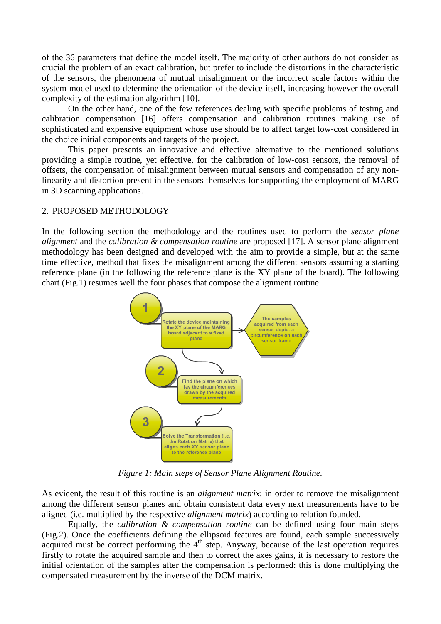of the 36 parameters that define the model itself. The majority of other authors do not consider as crucial the problem of an exact calibration, but prefer to include the distortions in the characteristic of the sensors, the phenomena of mutual misalignment or the incorrect scale factors within the system model used to determine the orientation of the device itself, increasing however the overall complexity of the estimation algorithm [10].

On the other hand, one of the few references dealing with specific problems of testing and calibration compensation [16] offers compensation and calibration routines making use of sophisticated and expensive equipment whose use should be to affect target low-cost considered in the choice initial components and targets of the project.

This paper presents an innovative and effective alternative to the mentioned solutions providing a simple routine, yet effective, for the calibration of low-cost sensors, the removal of offsets, the compensation of misalignment between mutual sensors and compensation of any nonlinearity and distortion present in the sensors themselves for supporting the employment of MARG in 3D scanning applications.

#### 2. PROPOSED METHODOLOGY

In the following section the methodology and the routines used to perform the *sensor plane alignment* and the *calibration & compensation routine* are proposed [17]. A sensor plane alignment methodology has been designed and developed with the aim to provide a simple, but at the same time effective, method that fixes the misalignment among the different sensors assuming a starting reference plane (in the following the reference plane is the XY plane of the board). The following chart (Fig.1) resumes well the four phases that compose the alignment routine.



*Figure 1: Main steps of Sensor Plane Alignment Routine.*

As evident, the result of this routine is an *alignment matrix*: in order to remove the misalignment among the different sensor planes and obtain consistent data every next measurements have to be aligned (i.e. multiplied by the respective *alignment matrix*) according to relation founded.

Equally, the *calibration & compensation routine* can be defined using four main steps (Fig.2). Once the coefficients defining the ellipsoid features are found, each sample successively acquired must be correct performing the  $4<sup>th</sup>$  step. Anyway, because of the last operation requires firstly to rotate the acquired sample and then to correct the axes gains, it is necessary to restore the initial orientation of the samples after the compensation is performed: this is done multiplying the compensated measurement by the inverse of the DCM matrix.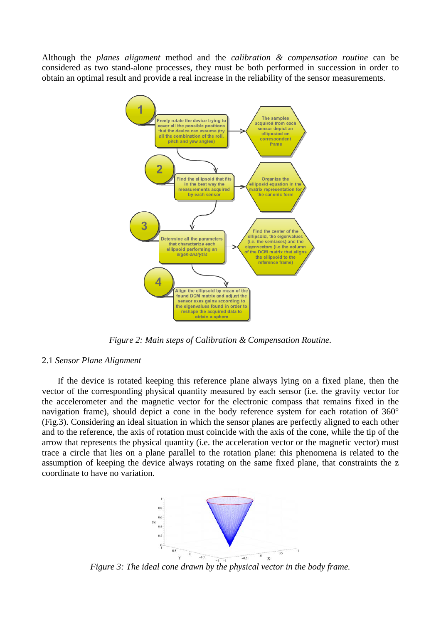Although the *planes alignment* method and the *calibration & compensation routine* can be considered as two stand-alone processes, they must be both performed in succession in order to obtain an optimal result and provide a real increase in the reliability of the sensor measurements.



*Figure 2: Main steps of Calibration & Compensation Routine.*

## 2.1 *Sensor Plane Alignment*

If the device is rotated keeping this reference plane always lying on a fixed plane, then the vector of the corresponding physical quantity measured by each sensor (i.e. the gravity vector for the accelerometer and the magnetic vector for the electronic compass that remains fixed in the navigation frame), should depict a cone in the body reference system for each rotation of 360° (Fig.3). Considering an ideal situation in which the sensor planes are perfectly aligned to each other and to the reference, the axis of rotation must coincide with the axis of the cone, while the tip of the arrow that represents the physical quantity (i.e. the acceleration vector or the magnetic vector) must trace a circle that lies on a plane parallel to the rotation plane: this phenomena is related to the assumption of keeping the device always rotating on the same fixed plane, that constraints the z coordinate to have no variation.



*Figure 3: The ideal cone drawn by the physical vector in the body frame.*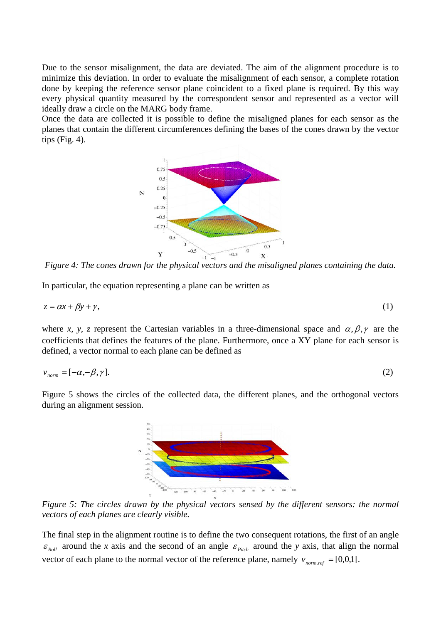Due to the sensor misalignment, the data are deviated. The aim of the alignment procedure is to minimize this deviation. In order to evaluate the misalignment of each sensor, a complete rotation done by keeping the reference sensor plane coincident to a fixed plane is required. By this way every physical quantity measured by the correspondent sensor and represented as a vector will ideally draw a circle on the MARG body frame.

Once the data are collected it is possible to define the misaligned planes for each sensor as the planes that contain the different circumferences defining the bases of the cones drawn by the vector tips (Fig. 4).



*Figure 4: The cones drawn for the physical vectors and the misaligned planes containing the data.*

In particular, the equation representing a plane can be written as

$$
z = \alpha x + \beta y + \gamma,\tag{1}
$$

where *x*, *y*, *z* represent the Cartesian variables in a three-dimensional space and  $\alpha$ ,  $\beta$ ,  $\gamma$  are the coefficients that defines the features of the plane. Furthermore, once a XY plane for each sensor is defined, a vector normal to each plane can be defined as

$$
v_{norm} = [-\alpha, -\beta, \gamma]. \tag{2}
$$

Figure 5 shows the circles of the collected data, the different planes, and the orthogonal vectors during an alignment session.



*Figure 5: The circles drawn by the physical vectors sensed by the different sensors: the normal vectors of each planes are clearly visible.*

The final step in the alignment routine is to define the two consequent rotations, the first of an angle  $\epsilon_{Roll}$  around the *x* axis and the second of an angle  $\epsilon_{Pitch}$  around the *y* axis, that align the normal vector of each plane to the normal vector of the reference plane, namely  $v_{norm,ref} = [0,0,1]$ .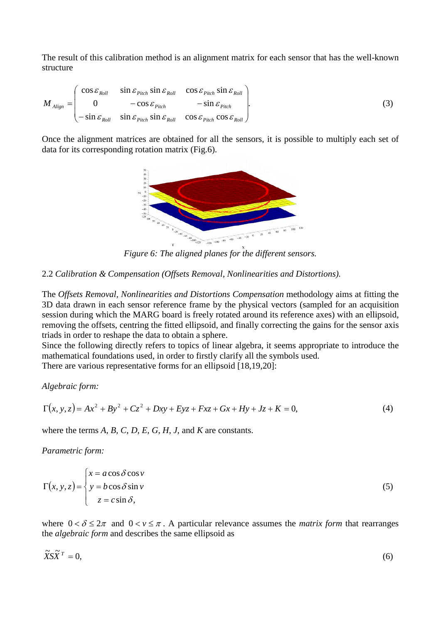The result of this calibration method is an alignment matrix for each sensor that has the well-known structure

$$
M_{\text{Align}} = \begin{pmatrix} \cos \varepsilon_{\text{Roll}} & \sin \varepsilon_{\text{Pitch}} \sin \varepsilon_{\text{Roll}} & \cos \varepsilon_{\text{Pitch}} \sin \varepsilon_{\text{Roll}} \\ 0 & -\cos \varepsilon_{\text{Pitch}} & -\sin \varepsilon_{\text{Pitch}} \\ -\sin \varepsilon_{\text{Roll}} & \sin \varepsilon_{\text{Pitch}} \sin \varepsilon_{\text{Roll}} & \cos \varepsilon_{\text{Pitch}} \cos \varepsilon_{\text{Roll}} \end{pmatrix} . \tag{3}
$$

Once the alignment matrices are obtained for all the sensors, it is possible to multiply each set of data for its corresponding rotation matrix (Fig.6).



*Figure 6: The aligned planes for the different sensors.*

## 2.2 *Calibration & Compensation (Offsets Removal, Nonlinearities and Distortions).*

The *Offsets Removal, Nonlinearities and Distortions Compensation* methodology aims at fitting the 3D data drawn in each sensor reference frame by the physical vectors (sampled for an acquisition session during which the MARG board is freely rotated around its reference axes) with an ellipsoid, removing the offsets, centring the fitted ellipsoid, and finally correcting the gains for the sensor axis triads in order to reshape the data to obtain a sphere.

Since the following directly refers to topics of linear algebra, it seems appropriate to introduce the mathematical foundations used, in order to firstly clarify all the symbols used.

There are various representative forms for an ellipsoid [18,19,20]:

## *Algebraic form:*

$$
\Gamma(x, y, z) = Ax^2 + By^2 + Cz^2 + Dxy + Eyz + Fxz + Gx + Hy + Jz + K = 0,
$$
\n(4)

where the terms *A, B, C, D, E, G, H, J,* and *K* are constants.

*Parametric form:*

$$
\Gamma(x, y, z) = \begin{cases} x = a \cos \delta \cos v \\ y = b \cos \delta \sin v \\ z = c \sin \delta, \end{cases}
$$
 (5)

where  $0 < \delta \leq 2\pi$  and  $0 < \nu \leq \pi$ . A particular relevance assumes the *matrix form* that rearranges the *algebraic form* and describes the same ellipsoid as

$$
\widetilde{X}S\widetilde{X}^T=0,\tag{6}
$$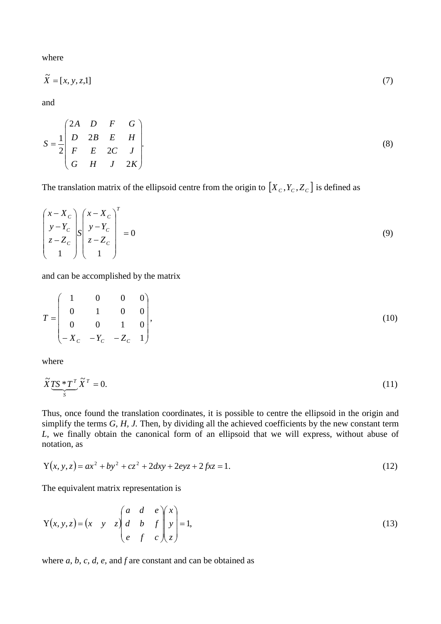where

$$
\widetilde{X} = [x, y, z, 1] \tag{7}
$$

and

$$
S = \frac{1}{2} \begin{pmatrix} 2A & D & F & G \\ D & 2B & E & H \\ F & E & 2C & J \\ G & H & J & 2K \end{pmatrix} .
$$
 (8)

The translation matrix of the ellipsoid centre from the origin to  $[X_c, Y_c, Z_c]$  is defined as

$$
\begin{pmatrix} x - X_c \\ y - Y_c \\ z - Z_c \\ 1 \end{pmatrix} \begin{pmatrix} x - X_c \\ y - Y_c \\ z - Z_c \\ 1 \end{pmatrix}^T = 0
$$
\n(9)

and can be accomplished by the matrix

$$
T = \begin{pmatrix} 1 & 0 & 0 & 0 \\ 0 & 1 & 0 & 0 \\ 0 & 0 & 1 & 0 \\ -X_C & -Y_C & -Z_C & 1 \end{pmatrix},
$$
(10)

where

$$
\tilde{X} \underbrace{TS \ast T^T}_{S} \tilde{X}^T = 0. \tag{11}
$$

Thus, once found the translation coordinates, it is possible to centre the ellipsoid in the origin and simplify the terms *G, H, J.* Then, by dividing all the achieved coefficients by the new constant term *L*, we finally obtain the canonical form of an ellipsoid that we will express, without abuse of notation, as

$$
Y(x, y, z) = ax2 + by2 + cz2 + 2dxy + 2eyz + 2fxz = 1.
$$
 (12)

The equivalent matrix representation is

$$
Y(x, y, z) = \begin{pmatrix} x & y & z \end{pmatrix} \begin{pmatrix} a & d & e \\ d & b & f \\ e & f & c \end{pmatrix} \begin{pmatrix} x \\ y \\ z \end{pmatrix} = 1,
$$
 (13)

where *a*, *b*, *c*, *d*, *e*, and *f* are constant and can be obtained as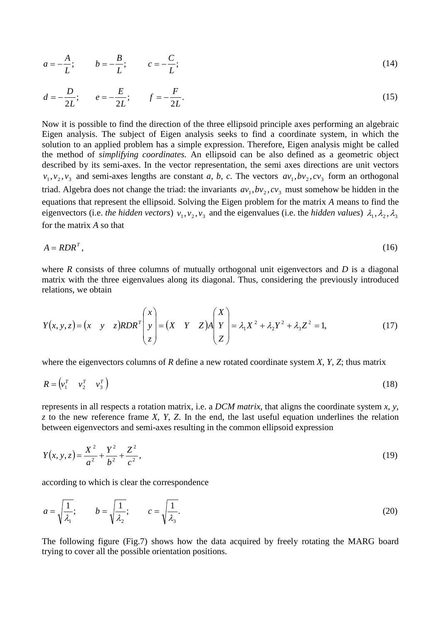$$
a = -\frac{A}{L}; \qquad b = -\frac{B}{L}; \qquad c = -\frac{C}{L}; \tag{14}
$$

$$
d = -\frac{D}{2L}; \qquad e = -\frac{E}{2L}; \qquad f = -\frac{F}{2L}.
$$
 (15)

Now it is possible to find the direction of the three ellipsoid principle axes performing an algebraic Eigen analysis. The subject of Eigen analysis seeks to find a coordinate system, in which the solution to an applied problem has a simple expression. Therefore, Eigen analysis might be called the method of *simplifying coordinates.* An ellipsoid can be also defined as a geometric object described by its semi-axes. In the vector representation, the semi axes directions are unit vectors  $v_1, v_2, v_3$  and semi-axes lengths are constant *a, b, c*. The vectors  $av_1, bv_2, cv_3$  form an orthogonal triad. Algebra does not change the triad: the invariants  $av_1, bv_2, cv_3$  must somehow be hidden in the equations that represent the ellipsoid. Solving the Eigen problem for the matrix *A* means to find the eigenvectors (i.e. *the hidden vectors*)  $v_1, v_2, v_3$  and the eigenvalues (i.e. the *hidden values*)  $\lambda_1, \lambda_2, \lambda_3$ for the matrix *A* so that

$$
A = RDR^T,\tag{16}
$$

where *R* consists of three columns of mutually orthogonal unit eigenvectors and *D* is a diagonal matrix with the three eigenvalues along its diagonal. Thus, considering the previously introduced relations, we obtain

$$
Y(x, y, z) = (x \quad y \quad z)RDR^T \begin{pmatrix} x \\ y \\ z \end{pmatrix} = (X \quad Y \quad Z)A \begin{pmatrix} X \\ Y \\ Z \end{pmatrix} = \lambda_1 X^2 + \lambda_2 Y^2 + \lambda_3 Z^2 = 1,
$$
 (17)

where the eigenvectors columns of *R* define a new rotated coordinate system *X*, *Y*, *Z*; thus matrix

$$
R = \begin{pmatrix} v_1^T & v_2^T & v_3^T \end{pmatrix} \tag{18}
$$

represents in all respects a rotation matrix, i.e. a *DCM matrix*, that aligns the coordinate system *x*, *y*, *z* to the new reference frame *X*, *Y*, *Z*. In the end, the last useful equation underlines the relation between eigenvectors and semi-axes resulting in the common ellipsoid expression

$$
Y(x, y, z) = \frac{X^2}{a^2} + \frac{Y^2}{b^2} + \frac{Z^2}{c^2},
$$
\n(19)

according to which is clear the correspondence

$$
a = \sqrt{\frac{1}{\lambda_1}}; \qquad b = \sqrt{\frac{1}{\lambda_2}}; \qquad c = \sqrt{\frac{1}{\lambda_3}}.
$$
 (20)

The following figure (Fig.7) shows how the data acquired by freely rotating the MARG board trying to cover all the possible orientation positions.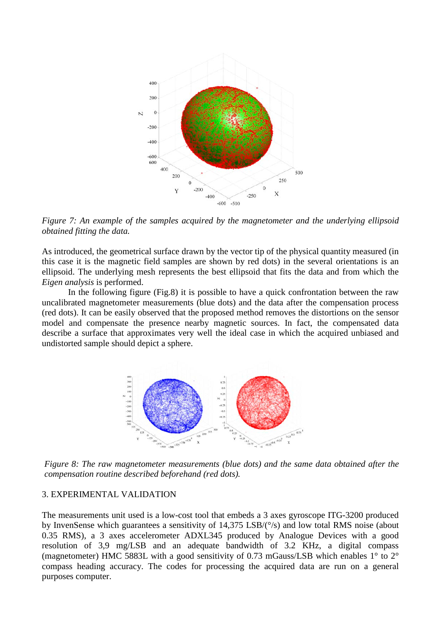

*Figure 7: An example of the samples acquired by the magnetometer and the underlying ellipsoid obtained fitting the data.*

As introduced, the geometrical surface drawn by the vector tip of the physical quantity measured (in this case it is the magnetic field samples are shown by red dots) in the several orientations is an ellipsoid. The underlying mesh represents the best ellipsoid that fits the data and from which the *Eigen analysis* is performed.

In the following figure (Fig.8) it is possible to have a quick confrontation between the raw uncalibrated magnetometer measurements (blue dots) and the data after the compensation process (red dots). It can be easily observed that the proposed method removes the distortions on the sensor model and compensate the presence nearby magnetic sources. In fact, the compensated data describe a surface that approximates very well the ideal case in which the acquired unbiased and undistorted sample should depict a sphere.



*Figure 8: The raw magnetometer measurements (blue dots) and the same data obtained after the compensation routine described beforehand (red dots).*

## 3. EXPERIMENTAL VALIDATION

The measurements unit used is a low-cost tool that embeds a 3 axes gyroscope ITG-3200 produced by InvenSense which guarantees a sensitivity of 14,375 LSB/(°/s) and low total RMS noise (about 0.35 RMS), a 3 axes accelerometer ADXL345 produced by Analogue Devices with a good resolution of 3,9 mg/LSB and an adequate bandwidth of 3.2 KHz, a digital compass (magnetometer) HMC 5883L with a good sensitivity of 0.73 mGauss/LSB which enables 1° to 2° compass heading accuracy. The codes for processing the acquired data are run on a general purposes computer.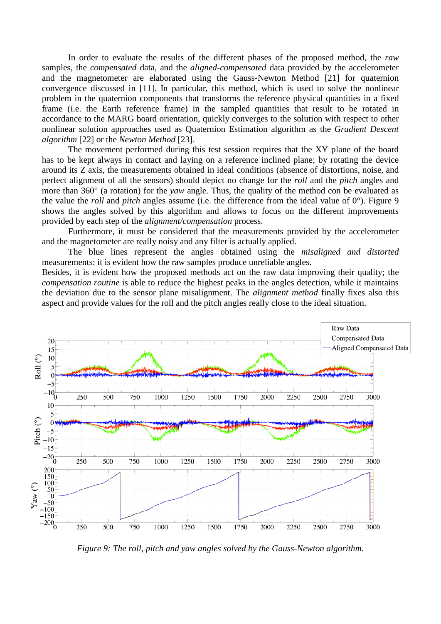In order to evaluate the results of the different phases of the proposed method, the *raw* samples, the *compensated* data, and the *aligned-compensated* data provided by the accelerometer and the magnetometer are elaborated using the Gauss-Newton Method [21] for quaternion convergence discussed in [11]. In particular, this method, which is used to solve the nonlinear problem in the quaternion components that transforms the reference physical quantities in a fixed frame (i.e. the Earth reference frame) in the sampled quantities that result to be rotated in accordance to the MARG board orientation, quickly converges to the solution with respect to other nonlinear solution approaches used as Quaternion Estimation algorithm as the *Gradient Descent algorithm* [22] or the *Newton Method* [23].

The movement performed during this test session requires that the XY plane of the board has to be kept always in contact and laying on a reference inclined plane; by rotating the device around its Z axis, the measurements obtained in ideal conditions (absence of distortions, noise, and perfect alignment of all the sensors) should depict no change for the *roll* and the *pitch* angles and more than 360° (a rotation) for the *yaw* angle. Thus, the quality of the method con be evaluated as the value the *roll* and *pitch* angles assume (i.e. the difference from the ideal value of 0°). Figure 9 shows the angles solved by this algorithm and allows to focus on the different improvements provided by each step of the *alignment/compensation* process.

Furthermore, it must be considered that the measurements provided by the accelerometer and the magnetometer are really noisy and any filter is actually applied.

The blue lines represent the angles obtained using the *misaligned and distorted* measurements: it is evident how the raw samples produce unreliable angles.

Besides, it is evident how the proposed methods act on the raw data improving their quality; the *compensation routine* is able to reduce the highest peaks in the angles detection, while it maintains the deviation due to the sensor plane misalignment. The *alignment method* finally fixes also this aspect and provide values for the roll and the pitch angles really close to the ideal situation.



*Figure 9: The roll, pitch and yaw angles solved by the Gauss-Newton algorithm.*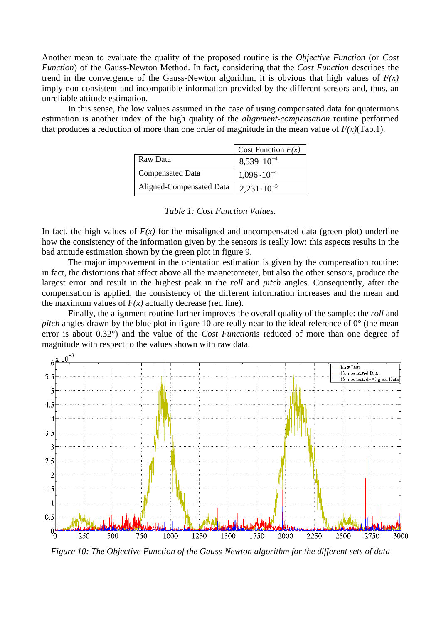Another mean to evaluate the quality of the proposed routine is the *Objective Function* (or *Cost Function*) of the Gauss-Newton Method. In fact, considering that the *Cost Function* describes the trend in the convergence of the Gauss-Newton algorithm, it is obvious that high values of  $F(x)$ imply non-consistent and incompatible information provided by the different sensors and, thus, an unreliable attitude estimation.

In this sense, the low values assumed in the case of using compensated data for quaternions estimation is another index of the high quality of the *alignment-compensation* routine performed that produces a reduction of more than one order of magnitude in the mean value of  $F(x)$ (Tab.1).

|                          | Cost Function $F(x)$  |
|--------------------------|-----------------------|
| Raw Data                 | $8,539 \cdot 10^{-4}$ |
| <b>Compensated Data</b>  | $1,096 \cdot 10^{-4}$ |
| Aligned-Compensated Data | $2,231 \cdot 10^{-5}$ |

|  | Table 1: Cost Function Values. |  |
|--|--------------------------------|--|
|  |                                |  |

In fact, the high values of  $F(x)$  for the misaligned and uncompensated data (green plot) underline how the consistency of the information given by the sensors is really low: this aspects results in the bad attitude estimation shown by the green plot in figure 9.

The major improvement in the orientation estimation is given by the compensation routine: in fact, the distortions that affect above all the magnetometer, but also the other sensors, produce the largest error and result in the highest peak in the *roll* and *pitch* angles. Consequently, after the compensation is applied, the consistency of the different information increases and the mean and the maximum values of  $F(x)$  actually decrease (red line).

Finally, the alignment routine further improves the overall quality of the sample: the *roll* and *pitch* angles drawn by the blue plot in figure 10 are really near to the ideal reference of 0° (the mean error is about 0.32°) and the value of the *Cost Function*is reduced of more than one degree of magnitude with respect to the values shown with raw data.



*Figure 10: The Objective Function of the Gauss-Newton algorithm for the different sets of data*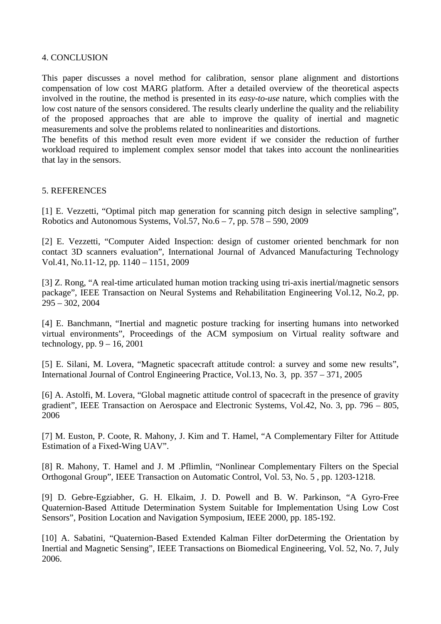## 4. CONCLUSION

This paper discusses a novel method for calibration, sensor plane alignment and distortions compensation of low cost MARG platform. After a detailed overview of the theoretical aspects involved in the routine, the method is presented in its *easy-to-use* nature, which complies with the low cost nature of the sensors considered. The results clearly underline the quality and the reliability of the proposed approaches that are able to improve the quality of inertial and magnetic measurements and solve the problems related to nonlinearities and distortions.

The benefits of this method result even more evident if we consider the reduction of further workload required to implement complex sensor model that takes into account the nonlinearities that lay in the sensors.

# 5. REFERENCES

[1] E. Vezzetti, "Optimal pitch map generation for scanning pitch design in selective sampling", Robotics and Autonomous Systems, Vol.57, No.6 – 7, pp.  $578 - 590$ , 2009

[2] E. Vezzetti, "Computer Aided Inspection: design of customer oriented benchmark for non contact 3D scanners evaluation", International Journal of Advanced Manufacturing Technology Vol.41, No.11-12, pp. 1140 – 1151, 2009

[3] Z. Rong, "A real-time articulated human motion tracking using tri-axis inertial/magnetic sensors package", IEEE Transaction on Neural Systems and Rehabilitation Engineering Vol.12, No.2, pp. 295 – 302, 2004

[4] E. Banchmann, "Inertial and magnetic posture tracking for inserting humans into networked virtual environments", Proceedings of the ACM symposium on Virtual reality software and technology, pp. 9 – 16, 2001

[5] E. Silani, M. Lovera, "Magnetic spacecraft attitude control: a survey and some new results", International Journal of Control Engineering Practice, Vol.13, No. 3, pp. 357 – 371, 2005

[6] A. Astolfi, M. Lovera, "Global magnetic attitude control of spacecraft in the presence of gravity gradient", IEEE Transaction on Aerospace and Electronic Systems, Vol.42, No. 3, pp. 796 – 805, 2006

[7] M. Euston, P. Coote, R. Mahony, J. Kim and T. Hamel, "A Complementary Filter for Attitude Estimation of a Fixed-Wing UAV".

[8] R. Mahony, T. Hamel and J. M .Pflimlin, "Nonlinear Complementary Filters on the Special Orthogonal Group", IEEE Transaction on Automatic Control, Vol. 53, No. 5 , pp. 1203-1218.

[9] D. Gebre-Egziabher, G. H. Elkaim, J. D. Powell and B. W. Parkinson, "A Gyro-Free Quaternion-Based Attitude Determination System Suitable for Implementation Using Low Cost Sensors", Position Location and Navigation Symposium, IEEE 2000, pp. 185-192.

[10] A. Sabatini, "Quaternion-Based Extended Kalman Filter dorDeterming the Orientation by Inertial and Magnetic Sensing", IEEE Transactions on Biomedical Engineering, Vol. 52, No. 7, July 2006.